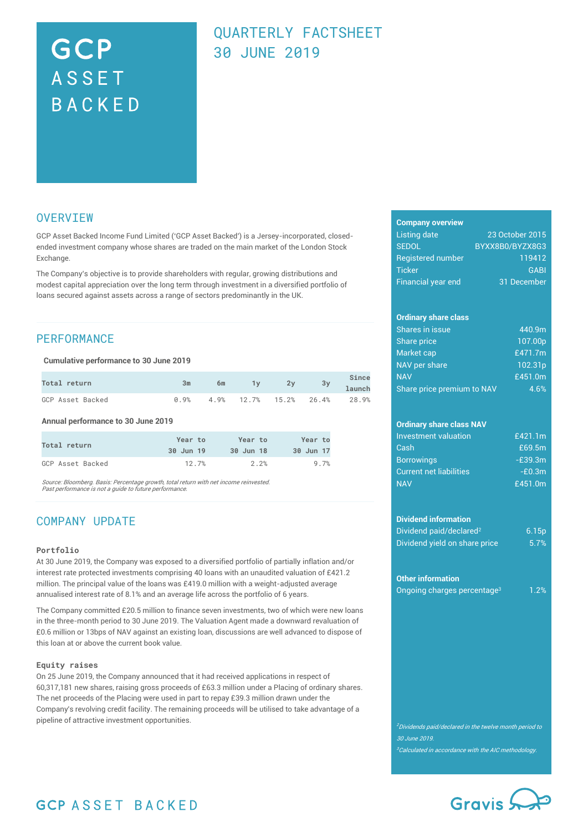# GCP **ASSET** BACKED

# QUARTERLY FACTSHEET 30 JUNE 2019

## **OVERVIEW**

GCP Asset Backed Income Fund Limited ('GCP Asset Backed') is a Jersey-incorporated, closedended investment company whose shares are traded on the main market of the London Stock **Exchange** 

The Company's objective is to provide shareholders with regular, growing distributions and modest capital appreciation over the long term through investment in a diversified portfolio of loans secured against assets across a range of sectors predominantly in the UK.

# **PERFORMANCE**

**Cumulative performance to 30 June 2019**

| <b>Total return</b> | 3m | 6m |  | Since<br>2y 3y 1aunch                |
|---------------------|----|----|--|--------------------------------------|
| GCP Asset Backed    |    |    |  | $0.9\%$ 4.9% 12.7% 15.2% 26.4% 28.9% |

**Annual performance to 30 June 2019**

| Total return     | Year to   | Year to   | Year to   |
|------------------|-----------|-----------|-----------|
|                  | 30 Jun 19 | 30 Jun 18 | 30 Jun 17 |
| GCP Asset Backed | 12.7%     | 2.2%      | 9.7%      |

Source: Bloomberg. Basis: Percentage growth, total return with net income reinvested. Past performance is not a guide to future performance.

# COMPANY UPDATE

#### **Portfolio**

At 30 June 2019, the Company was exposed to a diversified portfolio of partially inflation and/or interest rate protected investments comprising 40 loans with an unaudited valuation of £421.2 million. The principal value of the loans was £419.0 million with a weight-adjusted average annualised interest rate of 8.1% and an average life across the portfolio of 6 years.

The Company committed £20.5 million to finance seven investments, two of which were new loans in the three-month period to 30 June 2019. The Valuation Agent made a downward revaluation of £0.6 million or 13bps of NAV against an existing loan, discussions are well advanced to dispose of this loan at or above the current book value.

#### **Equity raises**

On 25 June 2019, the Company announced that it had received applications in respect of 60,317,181 new shares, raising gross proceeds of £63.3 million under a Placing of ordinary shares. The net proceeds of the Placing were used in part to repay £39.3 million drawn under the Company's revolving credit facility. The remaining proceeds will be utilised to take advantage of a pipeline of attractive investment opportunities.

### **Company overview**

| <b>Listing date</b>       | 23 October 2015 |
|---------------------------|-----------------|
| <b>SEDOL</b>              | BYXX8B0/BYZX8G3 |
| <b>Registered number</b>  | 119412          |
| <b>Ticker</b>             | <b>GABI</b>     |
| <b>Financial year end</b> | 31 December     |
|                           |                 |

#### **Ordinary share class**

| Shares in issue            | 440.9m              |
|----------------------------|---------------------|
| <b>Share price</b>         | 107.00 <sub>p</sub> |
| Market cap                 | £471.7m             |
| NAV per share              | 102.31p             |
| <b>NAV</b>                 | £451.0 $m$          |
| Share price premium to NAV | 4.6%                |

### **Ordinary share class NAV**

| Investment valuation           | £421.1m   |
|--------------------------------|-----------|
| Cash                           | £69.5m    |
| <b>Borrowings</b>              | $-E39.3m$ |
| <b>Current net liabilities</b> | $-E0.3m$  |
| <b>NAV</b>                     | £451.0m   |

#### **Dividend information**

| Dividend paid/declared <sup>2</sup> | 6.15p |
|-------------------------------------|-------|
| Dividend yield on share price       | 5.7%  |

#### **Other information**

|  | Ongoing charges percentage <sup>3</sup> | 1.2% |
|--|-----------------------------------------|------|
|  |                                         |      |

<sup>2</sup>Dividends paid/declared in the twelve month period to 30 June 2019.  $3$ Calculated in accordance with the AIC methodology.



# **GCP ASSET BACKED**